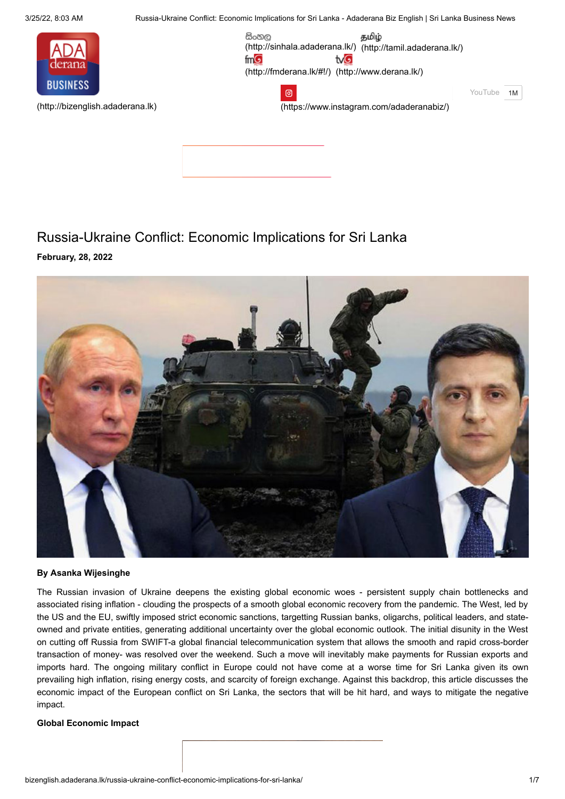3/25/22, 8:03 AM Russia-Ukraine Conflict: Economic Implications for Sri Lanka - Adaderana Biz English | Sri Lanka Business News



**February, 28, 2022**

සිංහල தமிழ் [\(http://sinhala.adaderana.lk/\)](http://sinhala.adaderana.lk/) [\(http://tamil.adaderana.lk/\)](http://tamil.adaderana.lk/)  $mG$ tvG [\(http://fmderana.lk/#!/\)](http://fmderana.lk/#!/) [\(http://www.derana.lk/\)](http://www.derana.lk/) ම

[\(http://bizenglish.adaderana.lk\)](http://bizenglish.adaderana.lk/)

[\(https://www.instagram.com/adaderanabiz/\)](https://www.instagram.com/adaderanabiz/)

YouTube 1M



Russia-Ukraine Conflict: Economic Implications for Sri Lanka

#### **By Asanka Wijesinghe**

The Russian invasion of Ukraine deepens the existing global economic woes - persistent supply chain bottlenecks and associated rising inflation - clouding the prospects of a smooth global economic recovery from the pandemic. The West, led by the US and the EU, swiftly imposed strict economic sanctions, targetting Russian banks, oligarchs, political leaders, and stateowned and private entities, generating additional uncertainty over the global economic outlook. The initial disunity in the West on cutting off Russia from SWIFT-a global financial telecommunication system that allows the smooth and rapid cross-border transaction of money- was resolved over the weekend. Such a move will inevitably make payments for Russian exports and imports hard. The ongoing military conflict in Europe could not have come at a worse time for Sri Lanka given its own prevailing high inflation, rising energy costs, and scarcity of foreign exchange. Against this backdrop, this article discusses the economic impact of the European conflict on Sri Lanka, the sectors that will be hit hard, and ways to mitigate the negative impact.

#### **Global Economic Impact**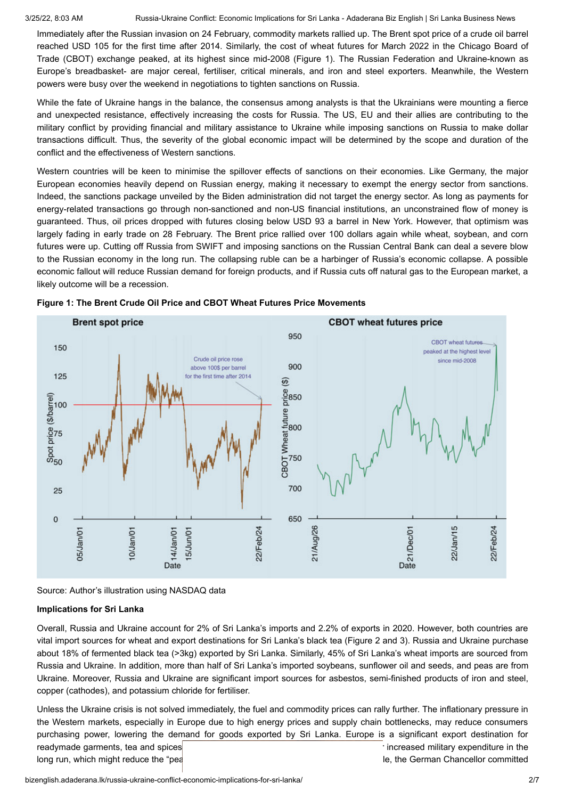3/25/22, 8:03 AM Russia-Ukraine Conflict: Economic Implications for Sri Lanka - Adaderana Biz English | Sri Lanka Business News

Immediately after the Russian invasion on 24 February, commodity markets rallied up. The Brent spot price of a crude oil barrel reached USD 105 for the first time after 2014. Similarly, the cost of wheat futures for March 2022 in the Chicago Board of Trade (CBOT) exchange peaked, at its highest since mid-2008 (Figure 1). The Russian Federation and Ukraine-known as Europe's breadbasket- are major cereal, fertiliser, critical minerals, and iron and steel exporters. Meanwhile, the Western powers were busy over the weekend in negotiations to tighten sanctions on Russia.

While the fate of Ukraine hangs in the balance, the consensus among analysts is that the Ukrainians were mounting a fierce and unexpected resistance, effectively increasing the costs for Russia. The US, EU and their allies are contributing to the military conflict by providing financial and military assistance to Ukraine while imposing sanctions on Russia to make dollar transactions difficult. Thus, the severity of the global economic impact will be determined by the scope and duration of the conflict and the effectiveness of Western sanctions.

Western countries will be keen to minimise the spillover effects of sanctions on their economies. Like Germany, the major European economies heavily depend on Russian energy, making it necessary to exempt the energy sector from sanctions. Indeed, the sanctions package unveiled by the Biden administration did not target the energy sector. As long as payments for energy-related transactions go through non-sanctioned and non-US financial institutions, an unconstrained flow of money is guaranteed. Thus, oil prices dropped with futures closing below USD 93 a barrel in New York. However, that optimism was largely fading in early trade on 28 February. The Brent price rallied over 100 dollars again while wheat, soybean, and corn futures were up. Cutting off Russia from SWIFT and imposing sanctions on the Russian Central Bank can deal a severe blow to the Russian economy in the long run. The collapsing ruble can be a harbinger of Russia's economic collapse. A possible economic fallout will reduce Russian demand for foreign products, and if Russia cuts off natural gas to the European market, a likely outcome will be a recession.





#### **Implications for Sri Lanka**

Overall, Russia and Ukraine account for 2% of Sri Lanka's imports and 2.2% of exports in 2020. However, both countries are vital import sources for wheat and export destinations for Sri Lanka's black tea (Figure 2 and 3). Russia and Ukraine purchase about 18% of fermented black tea (>3kg) exported by Sri Lanka. Similarly, 45% of Sri Lanka's wheat imports are sourced from Russia and Ukraine. In addition, more than half of Sri Lanka's imported soybeans, sunflower oil and seeds, and peas are from Ukraine. Moreover, Russia and Ukraine are significant import sources for asbestos, semi-finished products of iron and steel, copper (cathodes), and potassium chloride for fertiliser.

Unless the Ukraine crisis is not solved immediately, the fuel and commodity prices can rally further. The inflationary pressure in the Western markets, especially in Europe due to high energy prices and supply chain bottlenecks, may reduce consumers purchasing power, lowering the demand for goods exported by Sri Lanka. Europe is a significant export destination for readymade garments, tea and spices and seafood. There is also a grown for increased military expenditure in the long run, which might reduce the "peace dividends" for European households. For example, the German Chancellor committed

Source: Author's illustration using NASDAQ data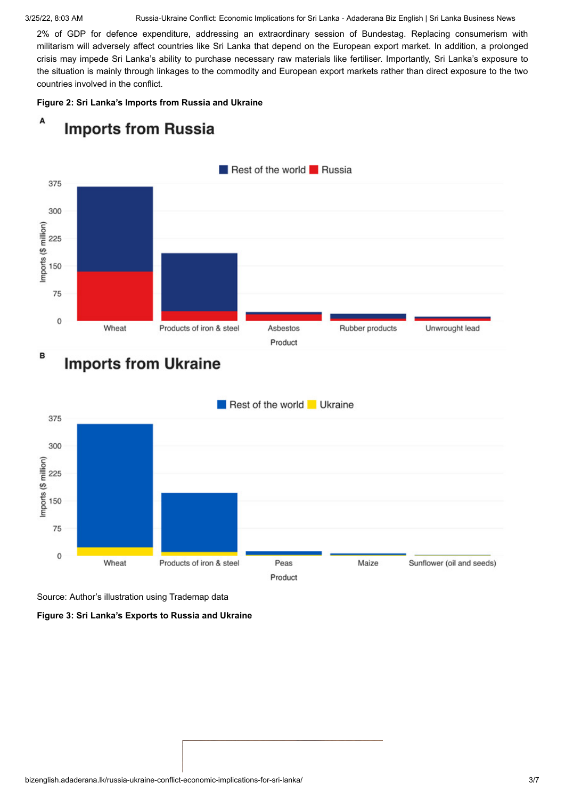3/25/22, 8:03 AM Russia-Ukraine Conflict: Economic Implications for Sri Lanka - Adaderana Biz English | Sri Lanka Business News

2% of GDP for defence expenditure, addressing an extraordinary session of Bundestag. Replacing consumerism with militarism will adversely affect countries like Sri Lanka that depend on the European export market. In addition, a prolonged crisis may impede Sri Lanka's ability to purchase necessary raw materials like fertiliser. Importantly, Sri Lanka's exposure to the situation is mainly through linkages to the commodity and European export markets rather than direct exposure to the two countries involved in the conflict.

#### **Figure 2: Sri Lanka's Imports from Russia and Ukraine**



#### A **Imports from Russia**

# **Imports from Ukraine**



Source: Author's illustration using Trademap data

**Figure 3: Sri Lanka's Exports to Russia and Ukraine**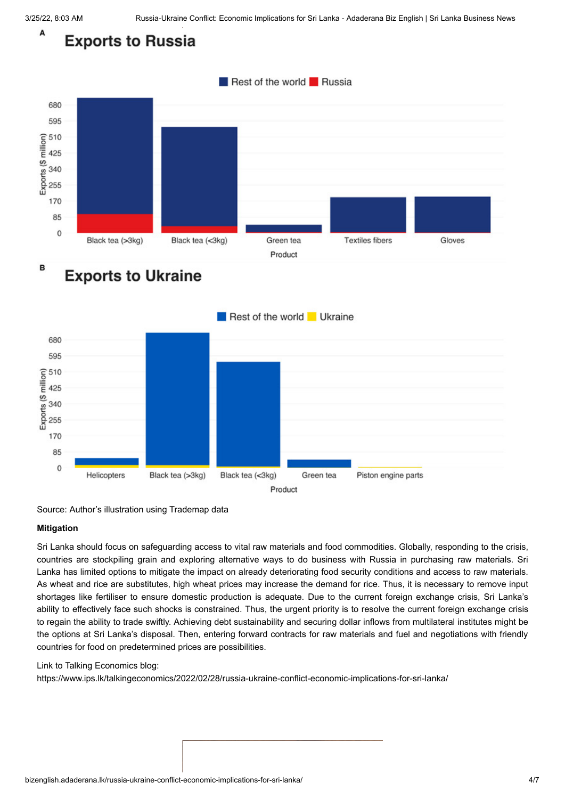#### A **Exports to Russia**



## **Exports to Ukraine**



Source: Author's illustration using Trademap data

#### **Mitigation**

Sri Lanka should focus on safeguarding access to vital raw materials and food commodities. Globally, responding to the crisis, countries are stockpiling grain and exploring alternative ways to do business with Russia in purchasing raw materials. Sri Lanka has limited options to mitigate the impact on already deteriorating food security conditions and access to raw materials. As wheat and rice are substitutes, high wheat prices may increase the demand for rice. Thus, it is necessary to remove input shortages like fertiliser to ensure domestic production is adequate. Due to the current foreign exchange crisis, Sri Lanka's ability to effectively face such shocks is constrained. Thus, the urgent priority is to resolve the current foreign exchange crisis to regain the ability to trade swiftly. Achieving debt sustainability and securing dollar inflows from multilateral institutes might be the options at Sri Lanka's disposal. Then, entering forward contracts for raw materials and fuel and negotiations with friendly countries for food on predetermined prices are possibilities.

#### Link to Talking Economics blog:

https://www.ips.lk/talkingeconomics/2022/02/28/russia-ukraine-conflict-economic-implications-for-sri-lanka/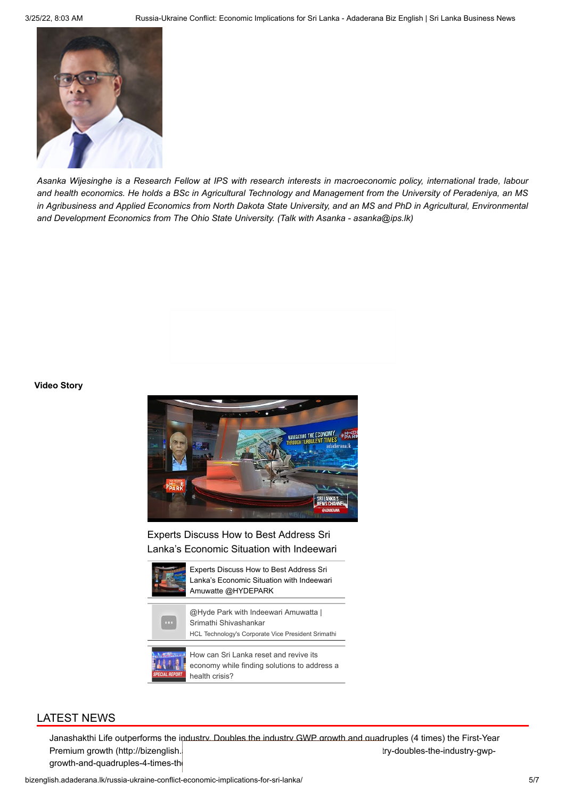

*Asanka Wijesinghe is a Research Fellow at IPS with research interests in macroeconomic policy, international trade, labour and health economics. He holds a BSc in Agricultural Technology and Management from the University of Peradeniya, an MS in Agribusiness and Applied Economics from North Dakota State University, and an MS and PhD in Agricultural, Environmental and Development Economics from The Ohio State University. (Talk with Asanka - asanka@ips.lk)*

#### **Video Story**



Experts Discuss How to Best Address Sri Lanka's Economic Situation with Indeewari



Experts Discuss How to Best Address Sri Lanka's Economic Situation with Indeewari Amuwatte @HYDEPARK





How can Sri Lanka reset and revive its economy while finding solutions to address a health crisis?

## LATEST NEWS

Janashakthi Life outperforms the industry. Doubles the industry GWP growth and quadruples (4 times) the First-Year Premium growth (http://bizenglish.adaberana.lk/janashakthi-life-outperforms-the-industry-gwpgrowth-and-quadruples-4-times-the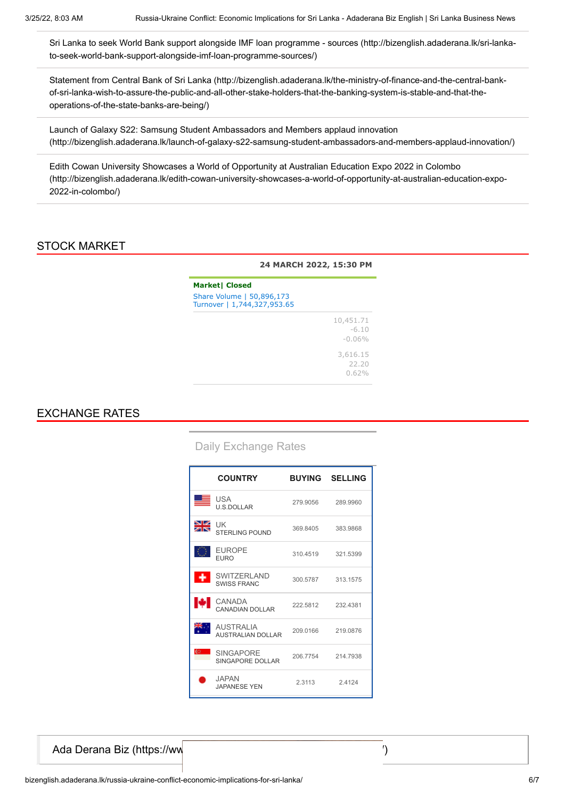[Sri Lanka to seek World Bank support alongside IMF loan programme - sources \(http://bizenglish.adaderana.lk/sri-lanka](http://bizenglish.adaderana.lk/sri-lanka-to-seek-world-bank-support-alongside-imf-loan-programme-sources/)to-seek-world-bank-support-alongside-imf-loan-programme-sources/)

[Statement from Central Bank of Sri Lanka \(http://bizenglish.adaderana.lk/the-ministry-of-finance-and-the-central-bank](http://bizenglish.adaderana.lk/the-ministry-of-finance-and-the-central-bank-of-sri-lanka-wish-to-assure-the-public-and-all-other-stake-holders-that-the-banking-system-is-stable-and-that-the-operations-of-the-state-banks-are-being/)of-sri-lanka-wish-to-assure-the-public-and-all-other-stake-holders-that-the-banking-system-is-stable-and-that-theoperations-of-the-state-banks-are-being/)

Launch of Galaxy S22: Samsung Student Ambassadors and Members applaud innovation [\(http://bizenglish.adaderana.lk/launch-of-galaxy-s22-samsung-student-ambassadors-and-members-applaud-innovation/\)](http://bizenglish.adaderana.lk/launch-of-galaxy-s22-samsung-student-ambassadors-and-members-applaud-innovation/)

Edith Cowan University Showcases a World of Opportunity at Australian Education Expo 2022 in Colombo [\(http://bizenglish.adaderana.lk/edith-cowan-university-showcases-a-world-of-opportunity-at-australian-education-expo-](http://bizenglish.adaderana.lk/edith-cowan-university-showcases-a-world-of-opportunity-at-australian-education-expo-2022-in-colombo/)2022-in-colombo/)

## STOCK MARKET

|                                                                                   | 24 MARCH 2022, 15:30 PM           |
|-----------------------------------------------------------------------------------|-----------------------------------|
| <b>Market  Closed</b><br>Share Volume   50,896,173<br>Turnover   1,744,327,953.65 |                                   |
|                                                                                   | 10,451.71<br>$-6.10$<br>$-0.06\%$ |
|                                                                                   | 3,616.15<br>22.20<br>0.62%        |

## EXCHANGE RATES

### Daily Exchange Rates

|            | <b>COUNTRY</b>                               |          | <b>BUYING SELLING</b> |
|------------|----------------------------------------------|----------|-----------------------|
| 트          | USA<br><b>U.S.DOLLAR</b>                     | 279.9056 | 289,9960              |
| ৯i∉<br>সাহ | <b>UK</b><br><b>STERLING POUND</b>           | 369.8405 | 383.9868              |
|            | <b>EUROPE</b><br><b>EURO</b>                 |          | 310.4519 321.5399     |
|            | SWITZERI AND<br><b>SWISS FRANC</b>           |          | 300.5787 313.1575     |
| м          | CANADA<br>CANADIAN DOLLAR                    |          | 222.5812 232.4381     |
|            | <b>AUSTRALIA</b><br><b>AUSTRALIAN DOLLAR</b> | 209.0166 | 219.0876              |
| 67.        | <b>SINGAPORE</b><br>SINGAPORE DOLLAR         |          | 206.7754 214.7938     |
|            | JAPAN.<br><b>JAPANESE YEN</b>                | 2.3113   | 2.4124                |

[Ada Derana Biz \(https://www.facebook.com/bizenglish.adaderana.lk/\)](https://www.facebook.com/bizenglish.adaderana.lk/)